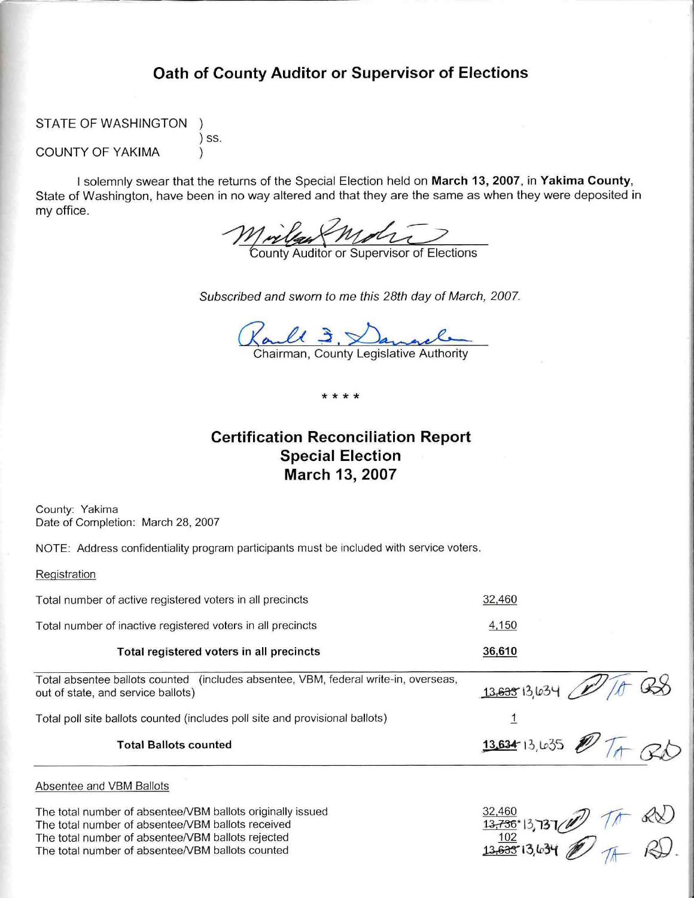# Oath of County Auditor or Supervisor of Elections

STATE OF WASHINGTON

**COUNTY OF YAKIMA** 

) SS.

I solemnly swear that the returns of the Special Election held on March 13, 2007, in Yakima County, State of Washington, have been in no way altered and that they are the same as when they were deposited in my office.

Mriles Molton of Elections

Subscribed and sworn to me this 28th day of March, 2007.

Raull 3, Danacle

\* \* \* \*

# **Certification Reconciliation Report Special Election** March 13, 2007

County: Yakima Date of Completion: March 28, 2007

NOTE: Address confidentiality program participants must be included with service voters.

Registration

| Total number of active registered voters in all precincts                                                                                                            | 32,460                                                                                        |
|----------------------------------------------------------------------------------------------------------------------------------------------------------------------|-----------------------------------------------------------------------------------------------|
| Total number of inactive registered voters in all precincts                                                                                                          | 4,150                                                                                         |
| Total registered voters in all precincts                                                                                                                             | 36,610                                                                                        |
| Total absentee ballots counted (includes absentee, VBM, federal write-in, overseas,<br>out of state, and service ballots)                                            | 13,63513,634,                                                                                 |
| Total poll site ballots counted (includes poll site and provisional ballots)                                                                                         |                                                                                               |
| <b>Total Ballots counted</b>                                                                                                                                         | $13.634$ 13, 635                                                                              |
| Absentee and VBM Ballots                                                                                                                                             |                                                                                               |
| The total number of absentee/VBM ballots originally issued<br>The total number of absentee/VBM ballots received<br>The total number of absentee/VBM ballots rejected | $\frac{32,460}{13,736}$ <sup>13</sup> ,737 (1) Tr S(X)<br>13, <del>633</del> 13,634 (1) Tr RQ |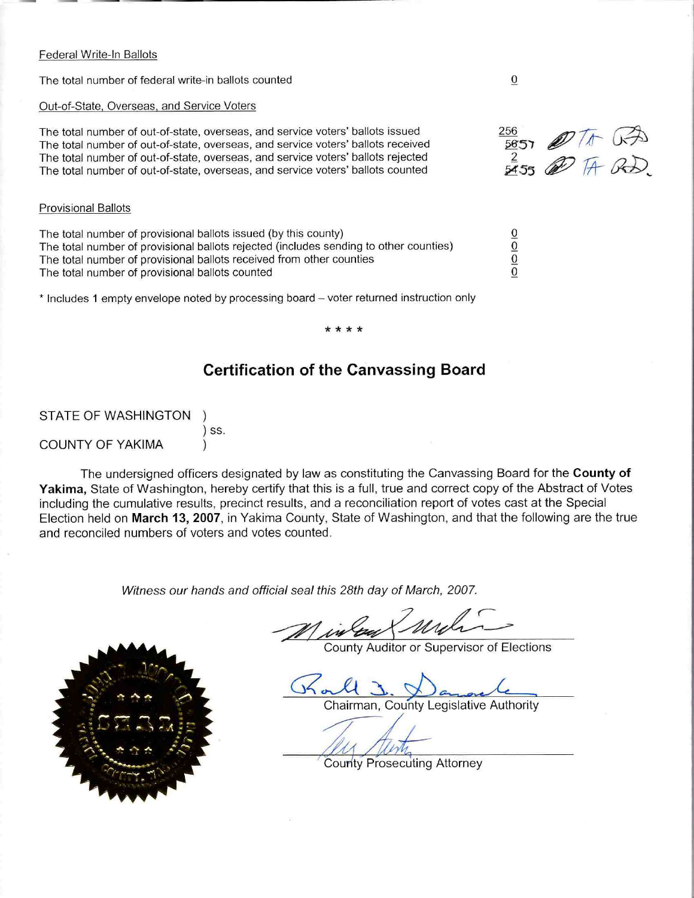### Federal Write-In Ballots

The total number of federal write-in ballots counted

## Out-of-State, Overseas, and Service Voters

The total number of out-of-state, overseas, and service voters' ballots issued The total number of out-of-state, overseas, and service voters' ballots received The total number of out-of-state, overseas, and service voters' ballots rejected The total number of out-of-state, overseas, and service voters' ballots counted

## **Provisional Ballots**

The total number of provisional ballots issued (by this county) The total number of provisional ballots rejected (includes sending to other counties) The total number of provisional ballots received from other counties The total number of provisional ballots counted

\* Includes 1 empty envelope noted by processing board - voter returned instruction only

## **Certification of the Canvassing Board**

STATE OF WASHINGTON  $\mathcal{L}$  $)$  SS. **COUNTY OF YAKIMA** 

The undersigned officers designated by law as constituting the Canvassing Board for the County of Yakima, State of Washington, hereby certify that this is a full, true and correct copy of the Abstract of Votes including the cumulative results, precinct results, and a reconciliation report of votes cast at the Special Election held on March 13, 2007, in Yakima County, State of Washington, and that the following are the true and reconciled numbers of voters and votes counted.

Witness our hands and official seal this 28th day of March, 2007.

County Auditor or Supervisor of Elections

Chairman, County Legislative Authority

**County Prosecuting Attorney** 

256  $\frac{20}{2651}$  2 To GA

 $\frac{1}{10}$  $\overline{0}$ 

 $\boldsymbol{0}$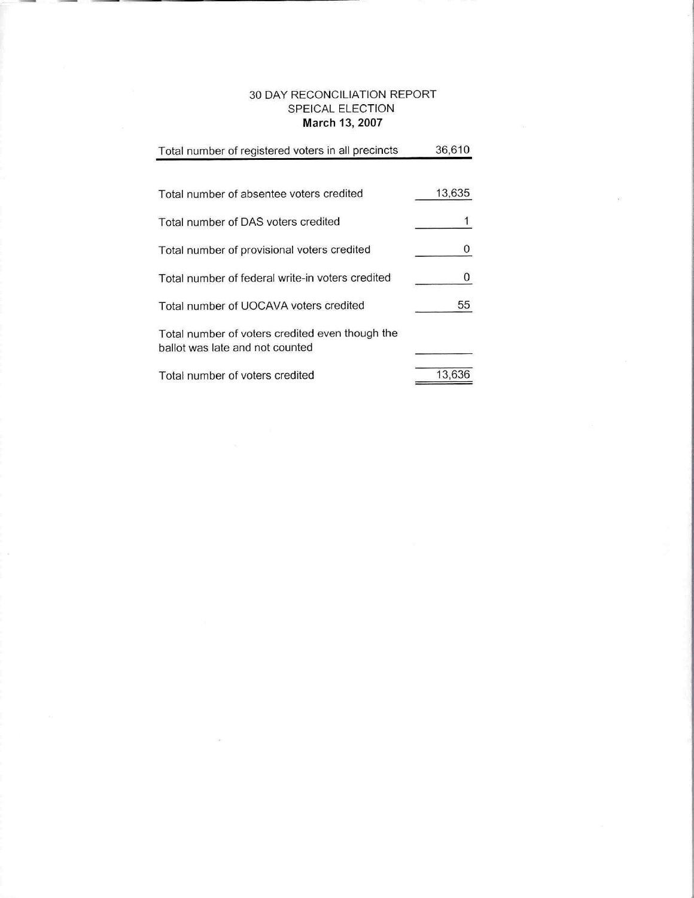## 30 DAY RECONCILIATION REPORT SPEICAL ELECTION March 13, 2007

| Total number of registered voters in all precincts                                 | 36,610 |
|------------------------------------------------------------------------------------|--------|
| Total number of absentee voters credited                                           | 13,635 |
| Total number of DAS voters credited                                                |        |
| Total number of provisional voters credited                                        | 0      |
| Total number of federal write-in voters credited                                   | 0      |
| Total number of UOCAVA voters credited                                             | 55     |
| Total number of voters credited even though the<br>ballot was late and not counted |        |
| Total number of voters credited                                                    | 13,636 |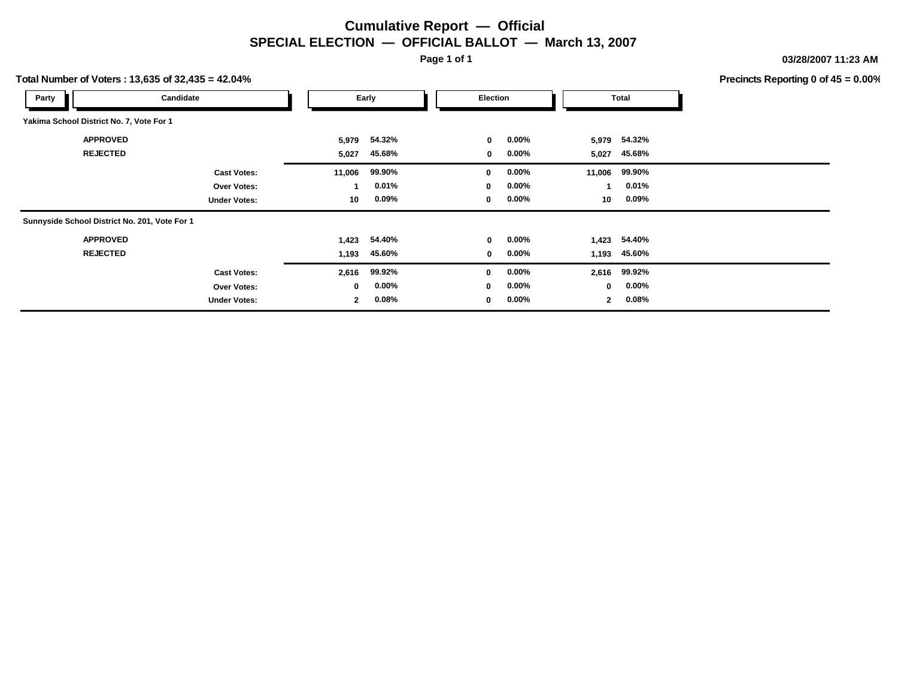## **Cumulative Report — Official SPECIAL ELECTION — OFFICIAL BALLOT — March 13, 2007**

**Page 1 of 1**

**03/28/2007 11:23 AM**

**Precincts Reporting 0 of 45 = 0.00%**

| Total Number of Voters: 13,635 of 32,435 = 42.04% |                     |        |          |                 |          |             |               | Precincts Reporting 0 of 4 |
|---------------------------------------------------|---------------------|--------|----------|-----------------|----------|-------------|---------------|----------------------------|
| Party                                             | Candidate           |        | Early    | <b>Election</b> |          |             | Total         |                            |
| Yakima School District No. 7, Vote For 1          |                     |        |          |                 |          |             |               |                            |
| <b>APPROVED</b>                                   |                     | 5,979  | 54.32%   | $\mathbf{0}$    | $0.00\%$ |             | 5,979 54.32%  |                            |
| <b>REJECTED</b>                                   |                     | 5,027  | 45.68%   | 0               | $0.00\%$ | 5,027       | 45.68%        |                            |
|                                                   | <b>Cast Votes:</b>  | 11,006 | 99.90%   | $\mathbf 0$     | $0.00\%$ |             | 11,006 99.90% |                            |
|                                                   | Over Votes:         | -1     | 0.01%    | $\mathbf 0$     | $0.00\%$ |             | 0.01%         |                            |
|                                                   | <b>Under Votes:</b> | 10     | $0.09\%$ | $\mathbf 0$     | $0.00\%$ | 10          | $0.09\%$      |                            |
| Sunnyside School District No. 201, Vote For 1     |                     |        |          |                 |          |             |               |                            |
| <b>APPROVED</b>                                   |                     | 1,423  | 54.40%   | 0               | 0.00%    |             | 1,423 54.40%  |                            |
| <b>REJECTED</b>                                   |                     | 1,193  | 45.60%   | 0               | 0.00%    | 1,193       | 45.60%        |                            |
|                                                   | <b>Cast Votes:</b>  | 2,616  | 99.92%   | $\mathbf 0$     | $0.00\%$ | 2,616       | 99.92%        |                            |
|                                                   | Over Votes:         | 0      | $0.00\%$ | $\mathbf 0$     | $0.00\%$ | $\mathbf 0$ | $0.00\%$      |                            |
|                                                   | <b>Under Votes:</b> | 2      | $0.08\%$ | 0               | $0.00\%$ | 2           | 0.08%         |                            |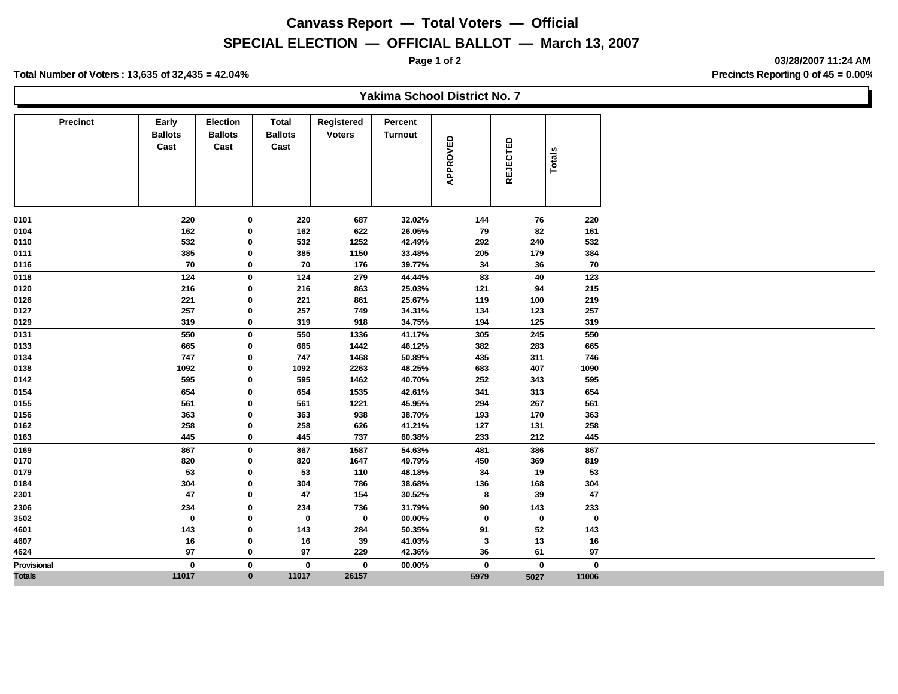# **Canvass Report — Total Voters — Official**

## **SPECIAL ELECTION — OFFICIAL BALLOT — March 13, 2007**

**Page 1 of 2 03/28/2007 11:24 AM**

**Total Number of Voters : 13,635 of 32,435 = 42.04% Precincts Reporting 0 of 45 = 0.00%**

|                 |                                 |                                           |                                        |                             | Yakima School District No. 7 |             |                 |               |
|-----------------|---------------------------------|-------------------------------------------|----------------------------------------|-----------------------------|------------------------------|-------------|-----------------|---------------|
| <b>Precinct</b> | Early<br><b>Ballots</b><br>Cast | <b>Election</b><br><b>Ballots</b><br>Cast | <b>Total</b><br><b>Ballots</b><br>Cast | Registered<br><b>Voters</b> | Percent<br><b>Turnout</b>    | APPROVED    | <b>REJECTED</b> | <b>Totals</b> |
| 0101            | 220                             | 0                                         | 220                                    | 687                         | 32.02%                       | 144         | 76              | 220           |
| 0104            | 162                             | $\mathbf 0$                               | 162                                    | 622                         | 26.05%                       | 79          | 82              | 161           |
| 0110            | 532                             | 0                                         | 532                                    | 1252                        | 42.49%                       | 292         | 240             | 532           |
| 0111            | 385                             | 0                                         | 385                                    | 1150                        | 33.48%                       | 205         | 179             | 384           |
| 0116            | 70                              | $\mathbf 0$                               | 70                                     | 176                         | 39.77%                       | 34          | 36              | 70            |
| 0118            | 124                             | $\mathbf 0$                               | 124                                    | 279                         | 44.44%                       | 83          | 40              | 123           |
| 0120            | 216                             | 0                                         | 216                                    | 863                         | 25.03%                       | 121         | 94              | 215           |
| 0126            | 221                             | 0                                         | 221                                    | 861                         | 25.67%                       | 119         | 100             | 219           |
| 0127            | 257                             | 0                                         | 257                                    | 749                         | 34.31%                       | 134         | 123             | 257           |
| 0129            | 319                             | 0                                         | 319                                    | 918                         | 34.75%                       | 194         | 125             | 319           |
| 0131            | 550                             | $\mathbf 0$                               | 550                                    | 1336                        | 41.17%                       | 305         | 245             | 550           |
| 0133            | 665                             | 0                                         | 665                                    | 1442                        | 46.12%                       | 382         | 283             | 665           |
| 0134            | 747                             | $\mathbf 0$                               | 747                                    | 1468                        | 50.89%                       | 435         | 311             | 746           |
| 0138            | 1092                            | 0                                         | 1092                                   | 2263                        | 48.25%                       | 683         | 407             | 1090          |
| 0142            | 595                             | 0                                         | 595                                    | 1462                        | 40.70%                       | 252         | 343             | 595           |
| 0154            | 654                             | 0                                         | 654                                    | 1535                        | 42.61%                       | 341         | 313             | 654           |
| 0155            | 561                             | 0                                         | 561                                    | 1221                        | 45.95%                       | 294         | 267             | 561           |
| 0156            | 363                             | 0                                         | 363                                    | 938                         | 38.70%                       | 193         | 170             | 363           |
| 0162            | 258                             | 0                                         | 258                                    | 626                         | 41.21%                       | 127         | 131             | 258           |
| 0163            | 445                             | 0                                         | 445                                    | 737                         | 60.38%                       | 233         | 212             | 445           |
| 0169            | 867                             | $\mathbf 0$                               | 867                                    | 1587                        | 54.63%                       | 481         | 386             | 867           |
| 0170            | 820                             | 0                                         | 820                                    | 1647                        | 49.79%                       | 450         | 369             | 819           |
| 0179            | 53                              | 0                                         | 53                                     | 110                         | 48.18%                       | 34          | 19              | 53            |
| 0184            | 304                             | 0                                         | 304                                    | 786                         | 38.68%                       | 136         | 168             | 304           |
| 2301            | 47                              | $\mathbf 0$                               | 47                                     | 154                         | 30.52%                       | 8           | 39              | 47            |
| 2306            | 234                             | $\mathbf 0$                               | 234                                    | 736                         | 31.79%                       | 90          | 143             | 233           |
| 3502            | $\mathbf 0$                     | $\mathbf 0$                               | $\mathbf 0$                            | 0                           | 00.00%                       | 0           | $\mathbf 0$     | $\mathbf 0$   |
| 4601            | 143                             | 0                                         | 143                                    | 284                         | 50.35%                       | 91          | 52              | 143           |
| 4607            | 16                              | $\mathbf 0$                               | 16                                     | 39                          | 41.03%                       | 3           | 13              | 16            |
| 4624            | 97                              | $\mathbf 0$                               | 97                                     | 229                         | 42.36%                       | 36          | 61              | 97            |
| Provisional     | $\mathbf 0$                     | $\mathbf 0$                               | $\bf{0}$                               | $\mathbf 0$                 | 00.00%                       | $\mathbf 0$ | $\mathbf 0$     | 0             |
| <b>Totals</b>   | 11017                           | $\mathbf{0}$                              | 11017                                  | 26157                       |                              | 5979        | 5027            | 11006         |